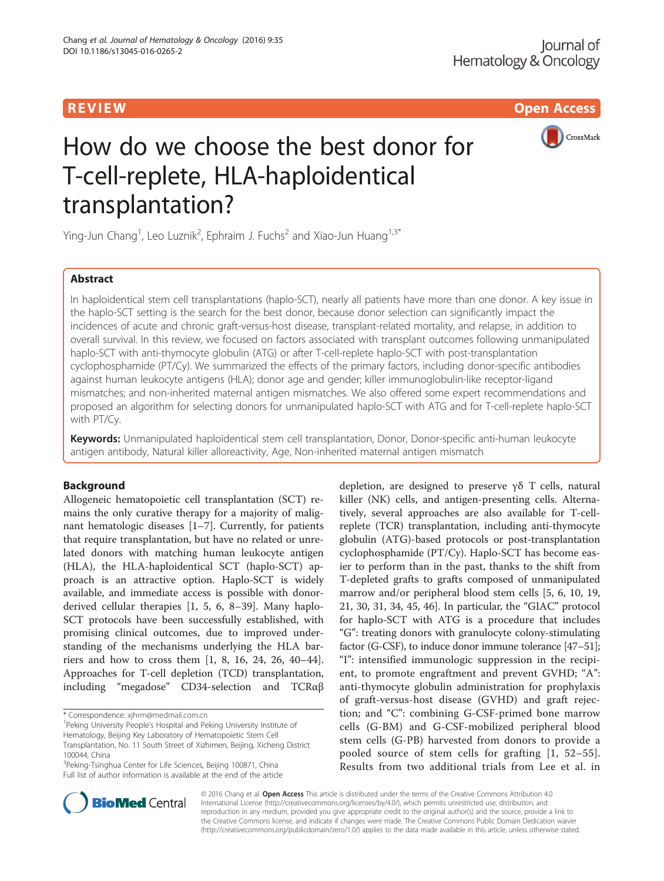R EVI EW Open Access



# How do we choose the best donor for T-cell-replete, HLA-haploidentical transplantation?

Ying-Jun Chang<sup>1</sup>, Leo Luznik<sup>2</sup>, Ephraim J. Fuchs<sup>2</sup> and Xiao-Jun Huang<sup>1,3\*</sup>

# Abstract

In haploidentical stem cell transplantations (haplo-SCT), nearly all patients have more than one donor. A key issue in the haplo-SCT setting is the search for the best donor, because donor selection can significantly impact the incidences of acute and chronic graft-versus-host disease, transplant-related mortality, and relapse, in addition to overall survival. In this review, we focused on factors associated with transplant outcomes following unmanipulated haplo-SCT with anti-thymocyte globulin (ATG) or after T-cell-replete haplo-SCT with post-transplantation cyclophosphamide (PT/Cy). We summarized the effects of the primary factors, including donor-specific antibodies against human leukocyte antigens (HLA); donor age and gender; killer immunoglobulin-like receptor-ligand mismatches; and non-inherited maternal antigen mismatches. We also offered some expert recommendations and proposed an algorithm for selecting donors for unmanipulated haplo-SCT with ATG and for T-cell-replete haplo-SCT with PT/Cy.

Keywords: Unmanipulated haploidentical stem cell transplantation, Donor, Donor-specific anti-human leukocyte antigen antibody, Natural killer alloreactivity, Age, Non-inherited maternal antigen mismatch

# Background

Allogeneic hematopoietic cell transplantation (SCT) remains the only curative therapy for a majority of malignant hematologic diseases [\[1](#page-8-0)–[7](#page-8-0)]. Currently, for patients that require transplantation, but have no related or unrelated donors with matching human leukocyte antigen (HLA), the HLA-haploidentical SCT (haplo-SCT) approach is an attractive option. Haplo-SCT is widely available, and immediate access is possible with donorderived cellular therapies [[1, 5](#page-8-0), [6, 8](#page-8-0)–[39](#page-8-0)]. Many haplo-SCT protocols have been successfully established, with promising clinical outcomes, due to improved understanding of the mechanisms underlying the HLA barriers and how to cross them [\[1](#page-8-0), [8, 16](#page-8-0), [24, 26](#page-8-0), [40](#page-9-0)–[44](#page-9-0)]. Approaches for T-cell depletion (TCD) transplantation, including "megadose" CD34-selection and TCRαβ

Full list of author information is available at the end of the article

depletion, are designed to preserve γδ T cells, natural killer (NK) cells, and antigen-presenting cells. Alternatively, several approaches are also available for T-cellreplete (TCR) transplantation, including anti-thymocyte globulin (ATG)-based protocols or post-transplantation cyclophosphamide (PT/Cy). Haplo-SCT has become easier to perform than in the past, thanks to the shift from T-depleted grafts to grafts composed of unmanipulated marrow and/or peripheral blood stem cells [[5, 6](#page-8-0), [10, 19](#page-8-0), [21, 30, 31, 34,](#page-8-0) [45, 46\]](#page-9-0). In particular, the "GIAC" protocol for haplo-SCT with ATG is a procedure that includes "G": treating donors with granulocyte colony-stimulating factor (G-CSF), to induce donor immune tolerance [\[47](#page-9-0)–[51](#page-9-0)]; "I": intensified immunologic suppression in the recipient, to promote engraftment and prevent GVHD; "A": anti-thymocyte globulin administration for prophylaxis of graft-versus-host disease (GVHD) and graft rejection; and "C": combining G-CSF-primed bone marrow cells (G-BM) and G-CSF-mobilized peripheral blood stem cells (G-PB) harvested from donors to provide a pooled source of stem cells for grafting [[1,](#page-8-0) [52](#page-9-0)–[55](#page-9-0)]. Results from two additional trials from Lee et al. in



© 2016 Chang et al. Open Access This article is distributed under the terms of the Creative Commons Attribution 4.0 International License [\(http://creativecommons.org/licenses/by/4.0/](http://creativecommons.org/licenses/by/4.0/)), which permits unrestricted use, distribution, and reproduction in any medium, provided you give appropriate credit to the original author(s) and the source, provide a link to the Creative Commons license, and indicate if changes were made. The Creative Commons Public Domain Dedication waiver [\(http://creativecommons.org/publicdomain/zero/1.0/](http://creativecommons.org/publicdomain/zero/1.0/)) applies to the data made available in this article, unless otherwise stated.

<sup>\*</sup> Correspondence: [xjhrm@medmail.com.cn](mailto:xjhrm@medmail.com.cn) <sup>1</sup>

<sup>&</sup>lt;sup>1</sup> Peking University People's Hospital and Peking University Institute of Hematology, Beijing Key Laboratory of Hematopoietic Stem Cell

Transplantation, No. 11 South Street of Xizhimen, Beijing, Xicheng District 100044, China <sup>3</sup>Peking-Tsinghua Center for Life Sciences, Beijing 100871, China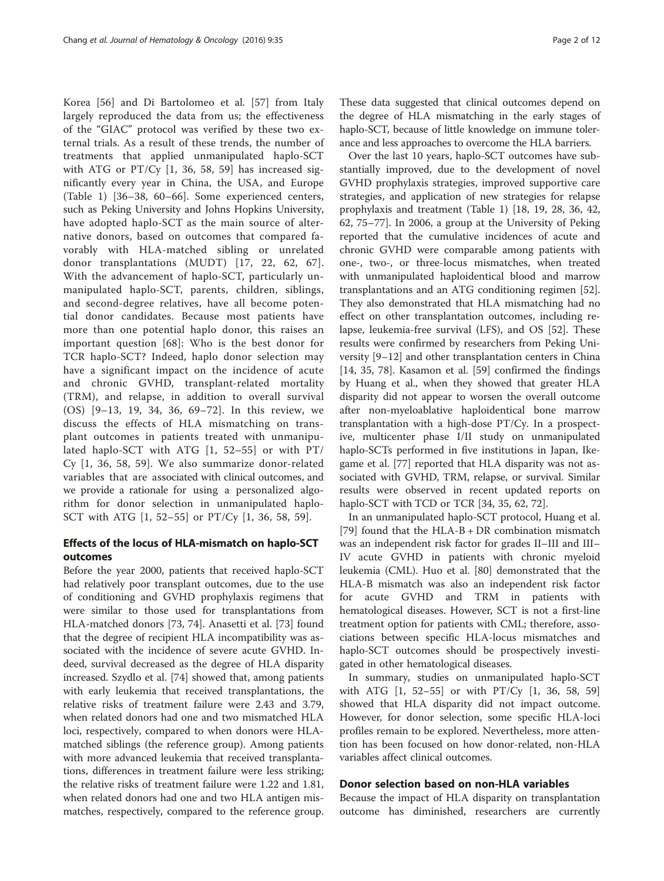Korea [[56\]](#page-9-0) and Di Bartolomeo et al. [\[57\]](#page-9-0) from Italy largely reproduced the data from us; the effectiveness of the "GIAC" protocol was verified by these two external trials. As a result of these trends, the number of treatments that applied unmanipulated haplo-SCT with ATG or PT/Cy [[1, 36](#page-8-0), [58, 59\]](#page-9-0) has increased significantly every year in China, the USA, and Europe (Table [1\)](#page-2-0) [[36](#page-8-0)–[38,](#page-8-0) [60](#page-9-0)–[66](#page-9-0)]. Some experienced centers, such as Peking University and Johns Hopkins University, have adopted haplo-SCT as the main source of alternative donors, based on outcomes that compared favorably with HLA-matched sibling or unrelated donor transplantations (MUDT) [[17, 22,](#page-8-0) [62, 67](#page-9-0)]. With the advancement of haplo-SCT, particularly unmanipulated haplo-SCT, parents, children, siblings, and second-degree relatives, have all become potential donor candidates. Because most patients have more than one potential haplo donor, this raises an important question [[68](#page-9-0)]: Who is the best donor for TCR haplo-SCT? Indeed, haplo donor selection may have a significant impact on the incidence of acute and chronic GVHD, transplant-related mortality (TRM), and relapse, in addition to overall survival (OS) [\[9](#page-8-0)–[13, 19](#page-8-0), [34](#page-8-0), [36](#page-8-0), [69](#page-9-0)–[72\]](#page-9-0). In this review, we discuss the effects of HLA mismatching on transplant outcomes in patients treated with unmanipulated haplo-SCT with ATG [[1,](#page-8-0) [52](#page-9-0)–[55](#page-9-0)] or with PT/ Cy [[1, 36,](#page-8-0) [58, 59\]](#page-9-0). We also summarize donor-related variables that are associated with clinical outcomes, and we provide a rationale for using a personalized algorithm for donor selection in unmanipulated haplo-SCT with ATG [[1](#page-8-0), [52](#page-9-0)–[55](#page-9-0)] or PT/Cy [[1, 36,](#page-8-0) [58](#page-9-0), [59](#page-9-0)].

# Effects of the locus of HLA-mismatch on haplo-SCT outcomes

Before the year 2000, patients that received haplo-SCT had relatively poor transplant outcomes, due to the use of conditioning and GVHD prophylaxis regimens that were similar to those used for transplantations from HLA-matched donors [[73](#page-9-0), [74\]](#page-9-0). Anasetti et al. [\[73](#page-9-0)] found that the degree of recipient HLA incompatibility was associated with the incidence of severe acute GVHD. Indeed, survival decreased as the degree of HLA disparity increased. Szydlo et al. [\[74\]](#page-9-0) showed that, among patients with early leukemia that received transplantations, the relative risks of treatment failure were 2.43 and 3.79, when related donors had one and two mismatched HLA loci, respectively, compared to when donors were HLAmatched siblings (the reference group). Among patients with more advanced leukemia that received transplantations, differences in treatment failure were less striking; the relative risks of treatment failure were 1.22 and 1.81, when related donors had one and two HLA antigen mismatches, respectively, compared to the reference group.

These data suggested that clinical outcomes depend on the degree of HLA mismatching in the early stages of haplo-SCT, because of little knowledge on immune tolerance and less approaches to overcome the HLA barriers.

Over the last 10 years, haplo-SCT outcomes have substantially improved, due to the development of novel GVHD prophylaxis strategies, improved supportive care strategies, and application of new strategies for relapse prophylaxis and treatment (Table [1\)](#page-2-0) [\[18, 19, 28, 36,](#page-8-0) [42](#page-9-0), [62, 75](#page-9-0)–[77\]](#page-9-0). In 2006, a group at the University of Peking reported that the cumulative incidences of acute and chronic GVHD were comparable among patients with one-, two-, or three-locus mismatches, when treated with unmanipulated haploidentical blood and marrow transplantations and an ATG conditioning regimen [\[52](#page-9-0)]. They also demonstrated that HLA mismatching had no effect on other transplantation outcomes, including relapse, leukemia-free survival (LFS), and OS [[52\]](#page-9-0). These results were confirmed by researchers from Peking University [\[9](#page-8-0)–[12\]](#page-8-0) and other transplantation centers in China [[14, 35](#page-8-0), [78](#page-9-0)]. Kasamon et al. [\[59\]](#page-9-0) confirmed the findings by Huang et al., when they showed that greater HLA disparity did not appear to worsen the overall outcome after non-myeloablative haploidentical bone marrow transplantation with a high-dose PT/Cy. In a prospective, multicenter phase I/II study on unmanipulated haplo-SCTs performed in five institutions in Japan, Ikegame et al. [[77\]](#page-9-0) reported that HLA disparity was not associated with GVHD, TRM, relapse, or survival. Similar results were observed in recent updated reports on haplo-SCT with TCD or TCR [[34, 35,](#page-8-0) [62, 72\]](#page-9-0).

In an unmanipulated haplo-SCT protocol, Huang et al. [[79\]](#page-9-0) found that the HLA-B + DR combination mismatch was an independent risk factor for grades II–III and III– IV acute GVHD in patients with chronic myeloid leukemia (CML). Huo et al. [[80\]](#page-9-0) demonstrated that the HLA-B mismatch was also an independent risk factor for acute GVHD and TRM in patients with hematological diseases. However, SCT is not a first-line treatment option for patients with CML; therefore, associations between specific HLA-locus mismatches and haplo-SCT outcomes should be prospectively investigated in other hematological diseases.

In summary, studies on unmanipulated haplo-SCT with ATG [\[1](#page-8-0), [52](#page-9-0)–[55](#page-9-0)] or with PT/Cy [[1, 36](#page-8-0), [58, 59](#page-9-0)] showed that HLA disparity did not impact outcome. However, for donor selection, some specific HLA-loci profiles remain to be explored. Nevertheless, more attention has been focused on how donor-related, non-HLA variables affect clinical outcomes.

#### Donor selection based on non-HLA variables

Because the impact of HLA disparity on transplantation outcome has diminished, researchers are currently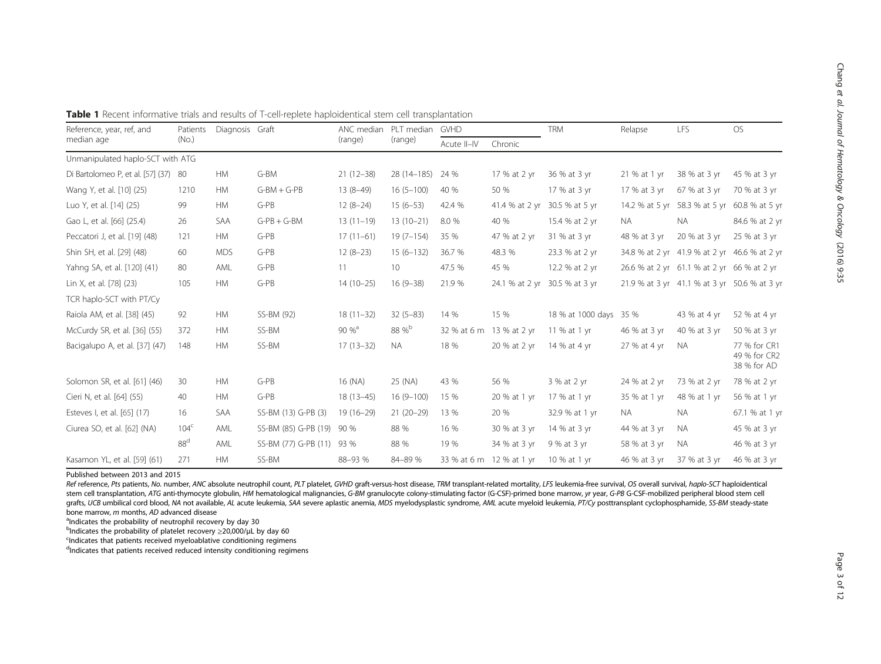| Reference, year, ref, and<br>median age | Patients<br>(N <sub>O</sub> ) | Diagnosis Graft |                      | ANC median PLT median<br>(range) | (range)         | <b>GVHD</b> |                | <b>TRM</b>                    | Relapse        | <b>LFS</b>                                   | <b>OS</b>                                   |
|-----------------------------------------|-------------------------------|-----------------|----------------------|----------------------------------|-----------------|-------------|----------------|-------------------------------|----------------|----------------------------------------------|---------------------------------------------|
|                                         |                               |                 |                      |                                  |                 | Acute II-IV | Chronic        |                               |                |                                              |                                             |
| Unmanipulated haplo-SCT with ATG        |                               |                 |                      |                                  |                 |             |                |                               |                |                                              |                                             |
| Di Bartolomeo P, et al. [57] (37)       | - 80                          | <b>HM</b>       | G-BM                 | $21(12-38)$                      | 28 (14-185)     | 24 %        | 17 % at 2 yr   | 36 % at 3 yr                  | 21 % at 1 yr   | 38 % at 3 yr                                 | 45 % at 3 yr                                |
| Wang Y, et al. [10] (25)                | 1210                          | <b>HM</b>       | $G-BM + G-PB$        | $13(8-49)$                       | $16(5 - 100)$   | 40 %        | 50 %           | 17 % at 3 yr                  | 17 % at 3 yr   | 67 % at 3 yr                                 | 70 % at 3 yr                                |
| Luo Y, et al. [14] (25)                 | 99                            | <b>HM</b>       | $G-PB$               | $12(8-24)$                       | $15(6-53)$      | 42.4 %      | 41.4 % at 2 yr | 30.5 % at 5 yr                | 14.2 % at 5 yr | 58.3 % at 5 yr                               | 60.8 % at 5 yr                              |
| Gao L, et al. [66] (25.4)               | 26                            | SAA             | $G-PB + G-BM$        | $13(11-19)$                      | $13(10-21)$     | 8.0 %       | 40 %           | 15.4 % at 2 yr                | NA.            | <b>NA</b>                                    | 84.6 % at 2 yr                              |
| Peccatori J, et al. [19] (48)           | 121                           | HM.             | $G-PB$               | $17(11-61)$                      | $19(7-154)$     | 35 %        | 47 % at 2 yr   | 31 % at 3 yr                  | 48 % at 3 yr   | 20 % at 3 yr                                 | 25 % at 3 yr                                |
| Shin SH, et al. [29] (48)               | 60                            | <b>MDS</b>      | $G-PB$               | $12(8-23)$                       | $15(6 - 132)$   | 36.7 %      | 48.3 %         | 23.3 % at 2 yr                |                | 34.8 % at 2 yr 41.9 % at 2 yr 46.6 % at 2 yr |                                             |
| Yahng SA, et al. [120] (41)             | 80                            | AML             | $G-PB$               | 11                               | 10 <sup>°</sup> | 47.5 %      | 45 %           | 12.2 % at 2 yr                |                | 26.6 % at 2 yr 61.1 % at 2 yr 66 % at 2 yr   |                                             |
| Lin X, et al. [78] (23)                 | 105                           | <b>HM</b>       | $G-PB$               | $14(10-25)$                      | $16(9-38)$      | 21.9 %      |                | 24.1 % at 2 yr 30.5 % at 3 yr |                | 21.9 % at 3 yr 41.1 % at 3 yr 50.6 % at 3 yr |                                             |
| TCR haplo-SCT with PT/Cy                |                               |                 |                      |                                  |                 |             |                |                               |                |                                              |                                             |
| Raiola AM, et al. [38] (45)             | 92                            | <b>HM</b>       | SS-BM (92)           | $18(11-32)$                      | $32(5-83)$      | 14 %        | 15 %           | 18 % at 1000 days             | 35 %           | 43 % at 4 yr                                 | 52 % at 4 yr                                |
| McCurdy SR, et al. [36] (55)            | 372                           | <b>HM</b>       | SS-BM                | $90\%$ <sup>a</sup>              | 88 %b           | 32 % at 6 m | 13 % at 2 yr   | 11 % at 1 yr                  | 46 % at 3 yr   | 40 % at 3 yr                                 | 50 % at 3 yr                                |
| Bacigalupo A, et al. [37] (47)          | 148                           | <b>HM</b>       | SS-BM                | $17(13-32)$                      | NA.             | 18 %        | 20 % at 2 yr   | 14 % at 4 yr                  | 27 % at 4 yr   | <b>NA</b>                                    | 77 % for CR1<br>49 % for CR2<br>38 % for AD |
| Solomon SR, et al. [61] (46)            | 30                            | <b>HM</b>       | $G-PB$               | 16 (NA)                          | 25 (NA)         | 43 %        | 56 %           | 3 % at 2 yr                   | 24 % at 2 yr   | 73 % at 2 yr                                 | 78 % at 2 yr                                |
| Cieri N, et al. [64] (55)               | 40                            | <b>HM</b>       | $G-PB$               | $18(13-45)$                      | $16(9 - 100)$   | 15 %        | 20 % at 1 yr   | 17 % at 1 yr                  | 35 % at 1 yr   | 48 % at 1 yr                                 | 56 % at 1 yr                                |
| Esteves I, et al. [65] (17)             | 16                            | SAA             | SS-BM (13) G-PB (3)  | $19(16-29)$                      | $21(20-29)$     | 13 %        | 20 %           | 32.9 % at 1 yr                | <b>NA</b>      | <b>NA</b>                                    | 67.1 % at 1 yr                              |
| Ciurea SO, et al. [62] (NA)             | 104 <sup>c</sup>              | AML             | SS-BM (85) G-PB (19) | 90 %                             | 88 %            | 16 %        | 30 % at 3 yr   | 14 % at 3 yr                  | 44 % at 3 yr   | <b>NA</b>                                    | 45 % at 3 yr                                |
|                                         | 88 <sup>d</sup>               | AML             | SS-BM (77) G-PB (11) | 93 %                             | 88 %            | 19 %        | 34 % at 3 yr   | 9 % at 3 yr                   | 58 % at 3 yr   | <b>NA</b>                                    | 46 % at 3 yr                                |
| Kasamon YL, et al. [59] (61)            | 271                           | <b>HM</b>       | SS-BM                | 88-93 %                          | 84-89 %         | 33 % at 6 m | 12 % at 1 yr   | 10 % at 1 yr                  | 46 % at 3 yr   | 37 % at 3 yr                                 | 46 % at 3 yr                                |

<span id="page-2-0"></span>Table 1 Recent informative trials and results of T-cell-replete haploidentical stem cell transplantation

Published between 2013 and 2015<br>Ref reference, Pts patients, No. number, ANC absolute neutrophil count, PLT platelet, GVHD graft-versus-host disease, TRM transplant-related mortality, LFS leukemia-free survival, OS overall Ref reference, Pts patients, No. number, ANC absolute neutrophil count, PLT platelet, GVHD graft-versus-host disease, TRM transplant-related mortality, LFS leukemia-free survival, OS overall survival, *haplo-SC*T haploiden stem cell transplantation, ATG anti-thymocyte globulin, HM hematological malignancies, G-BM granulocyte colony-stimulating factor (G-CSF)-primed bone marrow, yr year, G-PB G-CSF-mobilized peripheral blood stem cell<br>grafts grafts, UCB umbilical cord blood, NA not available, AL acute leukemia, SAA severe aplastic anemia, MDS myelodysplastic syndrome, AML acute myeloid leukemia, PT/Cy posttransplant cyclophosphamide, SS-BM steady-state<br>bone ma

bone marrow, *m* months, AD advanced disease<br><sup>a</sup>Indicates the probability of neutrophil recovery by day 30

b Indicates the probability of platelet recovery  $\geq$ 20,000/μL by day 60

<sup>c</sup>Indicates that patients received myeloablative conditioning regimens

<sup>d</sup>Indicates that patients received reduced intensity conditioning regimens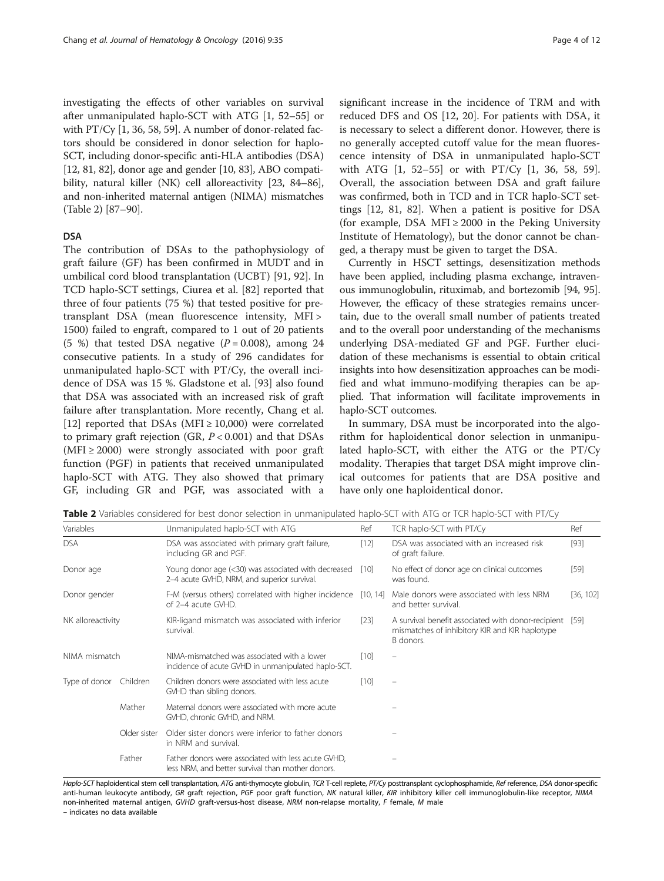investigating the effects of other variables on survival after unmanipulated haplo-SCT with ATG [[1,](#page-8-0) [52](#page-9-0)–[55\]](#page-9-0) or with PT/Cy [[1, 36](#page-8-0), [58](#page-9-0), [59\]](#page-9-0). A number of donor-related factors should be considered in donor selection for haplo-SCT, including donor-specific anti-HLA antibodies (DSA) [[12](#page-8-0), [81, 82](#page-10-0)], donor age and gender [[10](#page-8-0), [83\]](#page-10-0), ABO compatibility, natural killer (NK) cell alloreactivity [[23](#page-8-0), [84](#page-10-0)–[86](#page-10-0)], and non-inherited maternal antigen (NIMA) mismatches (Table 2) [[87](#page-10-0)–[90\]](#page-10-0).

# DSA

The contribution of DSAs to the pathophysiology of graft failure (GF) has been confirmed in MUDT and in umbilical cord blood transplantation (UCBT) [[91, 92\]](#page-10-0). In TCD haplo-SCT settings, Ciurea et al. [\[82\]](#page-10-0) reported that three of four patients (75 %) that tested positive for pretransplant DSA (mean fluorescence intensity, MFI > 1500) failed to engraft, compared to 1 out of 20 patients (5 %) that tested DSA negative  $(P = 0.008)$ , among 24 consecutive patients. In a study of 296 candidates for unmanipulated haplo-SCT with PT/Cy, the overall incidence of DSA was 15 %. Gladstone et al. [\[93](#page-10-0)] also found that DSA was associated with an increased risk of graft failure after transplantation. More recently, Chang et al. [[12\]](#page-8-0) reported that DSAs (MFI  $\geq$  10,000) were correlated to primary graft rejection (GR,  $P < 0.001$ ) and that DSAs ( $MFI \geq 2000$ ) were strongly associated with poor graft function (PGF) in patients that received unmanipulated haplo-SCT with ATG. They also showed that primary GF, including GR and PGF, was associated with a

significant increase in the incidence of TRM and with reduced DFS and OS [\[12](#page-8-0), [20\]](#page-8-0). For patients with DSA, it is necessary to select a different donor. However, there is no generally accepted cutoff value for the mean fluorescence intensity of DSA in unmanipulated haplo-SCT with ATG [[1,](#page-8-0) [52](#page-9-0)–[55\]](#page-9-0) or with PT/Cy [\[1](#page-8-0), [36,](#page-8-0) [58, 59](#page-9-0)]. Overall, the association between DSA and graft failure was confirmed, both in TCD and in TCR haplo-SCT settings [\[12,](#page-8-0) [81](#page-10-0), [82](#page-10-0)]. When a patient is positive for DSA (for example, DSA MFI  $\geq$  2000 in the Peking University Institute of Hematology), but the donor cannot be changed, a therapy must be given to target the DSA.

Currently in HSCT settings, desensitization methods have been applied, including plasma exchange, intravenous immunoglobulin, rituximab, and bortezomib [[94](#page-10-0), [95](#page-10-0)]. However, the efficacy of these strategies remains uncertain, due to the overall small number of patients treated and to the overall poor understanding of the mechanisms underlying DSA-mediated GF and PGF. Further elucidation of these mechanisms is essential to obtain critical insights into how desensitization approaches can be modified and what immuno-modifying therapies can be applied. That information will facilitate improvements in haplo-SCT outcomes.

In summary, DSA must be incorporated into the algorithm for haploidentical donor selection in unmanipulated haplo-SCT, with either the ATG or the PT/Cy modality. Therapies that target DSA might improve clinical outcomes for patients that are DSA positive and have only one haploidentical donor.

Table 2 Variables considered for best donor selection in unmanipulated haplo-SCT with ATG or TCR haplo-SCT with PT/Cy

| Variables         |              | Unmanipulated haplo-SCT with ATG                                                                             |        | TCR haplo-SCT with PT/Cy                                                                                          | Ref       |
|-------------------|--------------|--------------------------------------------------------------------------------------------------------------|--------|-------------------------------------------------------------------------------------------------------------------|-----------|
| <b>DSA</b>        |              | DSA was associated with primary graft failure,<br>including GR and PGF.                                      |        | DSA was associated with an increased risk<br>of graft failure.                                                    | $[93]$    |
| Donor age         |              | Young donor age (<30) was associated with decreased<br>$[10]$<br>2-4 acute GVHD, NRM, and superior survival. |        | No effect of donor age on clinical outcomes<br>was found.                                                         | $[59]$    |
| Donor gender      |              | F-M (versus others) correlated with higher incidence<br>of 2-4 acute GVHD.                                   |        | Male donors were associated with less NRM<br>and better survival.                                                 | [36, 102] |
| NK alloreactivity |              | KIR-ligand mismatch was associated with inferior<br>survival.                                                |        | A survival benefit associated with donor-recipient<br>mismatches of inhibitory KIR and KIR haplotype<br>B donors. | [59]      |
| NIMA mismatch     |              | NIMA-mismatched was associated with a lower<br>incidence of acute GVHD in unmanipulated haplo-SCT.           | $[10]$ | -                                                                                                                 |           |
| Type of donor     | Children     | Children donors were associated with less acute<br>GVHD than sibling donors.                                 | $[10]$ |                                                                                                                   |           |
|                   | Mather       | Maternal donors were associated with more acute<br>GVHD, chronic GVHD, and NRM.                              |        |                                                                                                                   |           |
|                   | Older sister | Older sister donors were inferior to father donors<br>in NRM and survival.                                   |        |                                                                                                                   |           |
|                   | Father       | Father donors were associated with less acute GVHD,<br>less NRM, and better survival than mother donors.     |        |                                                                                                                   |           |

Haplo-SCT haploidentical stem cell transplantation, ATG anti-thymocyte globulin, TCR T-cell replete, PT/Cy posttransplant cyclophosphamide, Ref reference, DSA donor-specific anti-human leukocyte antibody, GR graft rejection, PGF poor graft function, NK natural killer, KIR inhibitory killer cell immunoglobulin-like receptor, NIMA non-inherited maternal antigen, GVHD graft-versus-host disease, NRM non-relapse mortality, F female, M male – indicates no data available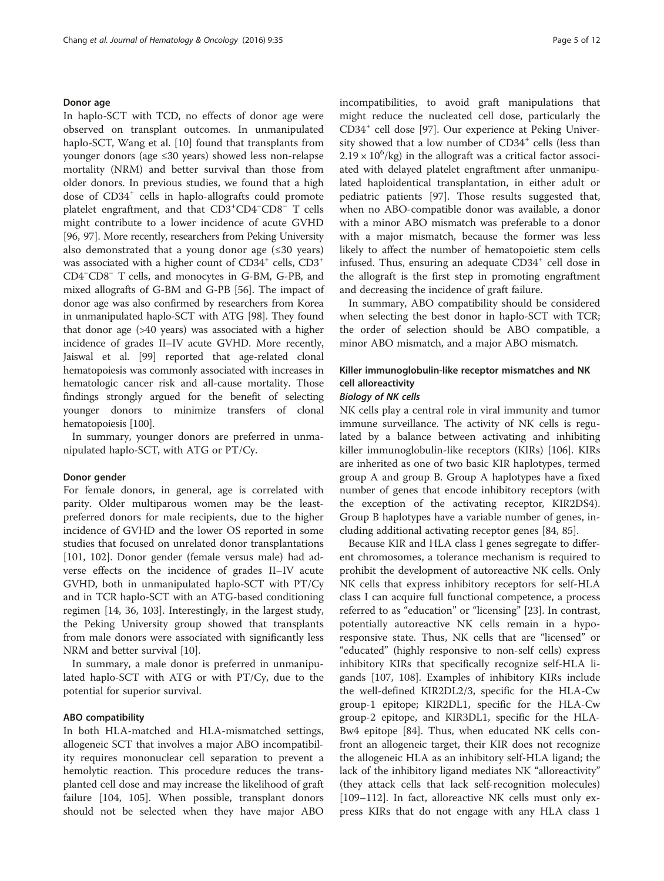#### Donor age

In haplo-SCT with TCD, no effects of donor age were observed on transplant outcomes. In unmanipulated haplo-SCT, Wang et al. [[10](#page-8-0)] found that transplants from younger donors (age ≤30 years) showed less non-relapse mortality (NRM) and better survival than those from older donors. In previous studies, we found that a high dose of CD34+ cells in haplo-allografts could promote platelet engraftment, and that CD3<sup>+</sup>CD4<sup>-</sup>CD8<sup>-</sup> T cells might contribute to a lower incidence of acute GVHD [[96, 97\]](#page-10-0). More recently, researchers from Peking University also demonstrated that a young donor age  $(\leq 30 \text{ years})$ was associated with a higher count of  $CD34^+$  cells,  $CD3^+$ CD4<sup>−</sup> CD8<sup>−</sup> T cells, and monocytes in G-BM, G-PB, and mixed allografts of G-BM and G-PB [\[56\]](#page-9-0). The impact of donor age was also confirmed by researchers from Korea in unmanipulated haplo-SCT with ATG [\[98](#page-10-0)]. They found that donor age (>40 years) was associated with a higher incidence of grades II–IV acute GVHD. More recently, Jaiswal et al. [\[99](#page-10-0)] reported that age-related clonal hematopoiesis was commonly associated with increases in hematologic cancer risk and all-cause mortality. Those findings strongly argued for the benefit of selecting younger donors to minimize transfers of clonal hematopoiesis [\[100\]](#page-10-0).

In summary, younger donors are preferred in unmanipulated haplo-SCT, with ATG or PT/Cy.

#### Donor gender

For female donors, in general, age is correlated with parity. Older multiparous women may be the leastpreferred donors for male recipients, due to the higher incidence of GVHD and the lower OS reported in some studies that focused on unrelated donor transplantations [[101, 102\]](#page-10-0). Donor gender (female versus male) had adverse effects on the incidence of grades II–IV acute GVHD, both in unmanipulated haplo-SCT with PT/Cy and in TCR haplo-SCT with an ATG-based conditioning regimen [[14, 36](#page-8-0), [103\]](#page-10-0). Interestingly, in the largest study, the Peking University group showed that transplants from male donors were associated with significantly less NRM and better survival [[10\]](#page-8-0).

In summary, a male donor is preferred in unmanipulated haplo-SCT with ATG or with PT/Cy, due to the potential for superior survival.

#### ABO compatibility

In both HLA-matched and HLA-mismatched settings, allogeneic SCT that involves a major ABO incompatibility requires mononuclear cell separation to prevent a hemolytic reaction. This procedure reduces the transplanted cell dose and may increase the likelihood of graft failure [\[104, 105](#page-10-0)]. When possible, transplant donors should not be selected when they have major ABO incompatibilities, to avoid graft manipulations that might reduce the nucleated cell dose, particularly the CD34<sup>+</sup> cell dose [[97\]](#page-10-0). Our experience at Peking University showed that a low number of  $CD34<sup>+</sup>$  cells (less than  $2.19 \times 10^6$ /kg) in the allograft was a critical factor associated with delayed platelet engraftment after unmanipulated haploidentical transplantation, in either adult or pediatric patients [\[97](#page-10-0)]. Those results suggested that, when no ABO-compatible donor was available, a donor with a minor ABO mismatch was preferable to a donor with a major mismatch, because the former was less likely to affect the number of hematopoietic stem cells infused. Thus, ensuring an adequate  $CD34<sup>+</sup>$  cell dose in the allograft is the first step in promoting engraftment and decreasing the incidence of graft failure.

In summary, ABO compatibility should be considered when selecting the best donor in haplo-SCT with TCR; the order of selection should be ABO compatible, a minor ABO mismatch, and a major ABO mismatch.

# Killer immunoglobulin-like receptor mismatches and NK cell alloreactivity

NK cells play a central role in viral immunity and tumor immune surveillance. The activity of NK cells is regulated by a balance between activating and inhibiting killer immunoglobulin-like receptors (KIRs) [[106](#page-10-0)]. KIRs are inherited as one of two basic KIR haplotypes, termed group A and group B. Group A haplotypes have a fixed number of genes that encode inhibitory receptors (with the exception of the activating receptor, KIR2DS4). Group B haplotypes have a variable number of genes, including additional activating receptor genes [\[84](#page-10-0), [85](#page-10-0)].

Because KIR and HLA class I genes segregate to different chromosomes, a tolerance mechanism is required to prohibit the development of autoreactive NK cells. Only NK cells that express inhibitory receptors for self-HLA class I can acquire full functional competence, a process referred to as "education" or "licensing" [\[23](#page-8-0)]. In contrast, potentially autoreactive NK cells remain in a hyporesponsive state. Thus, NK cells that are "licensed" or "educated" (highly responsive to non-self cells) express inhibitory KIRs that specifically recognize self-HLA ligands [\[107, 108\]](#page-10-0). Examples of inhibitory KIRs include the well-defined KIR2DL2/3, specific for the HLA-Cw group-1 epitope; KIR2DL1, specific for the HLA-Cw group-2 epitope, and KIR3DL1, specific for the HLA-Bw4 epitope [[84](#page-10-0)]. Thus, when educated NK cells confront an allogeneic target, their KIR does not recognize the allogeneic HLA as an inhibitory self-HLA ligand; the lack of the inhibitory ligand mediates NK "alloreactivity" (they attack cells that lack self-recognition molecules) [[109](#page-10-0)–[112](#page-10-0)]. In fact, alloreactive NK cells must only express KIRs that do not engage with any HLA class 1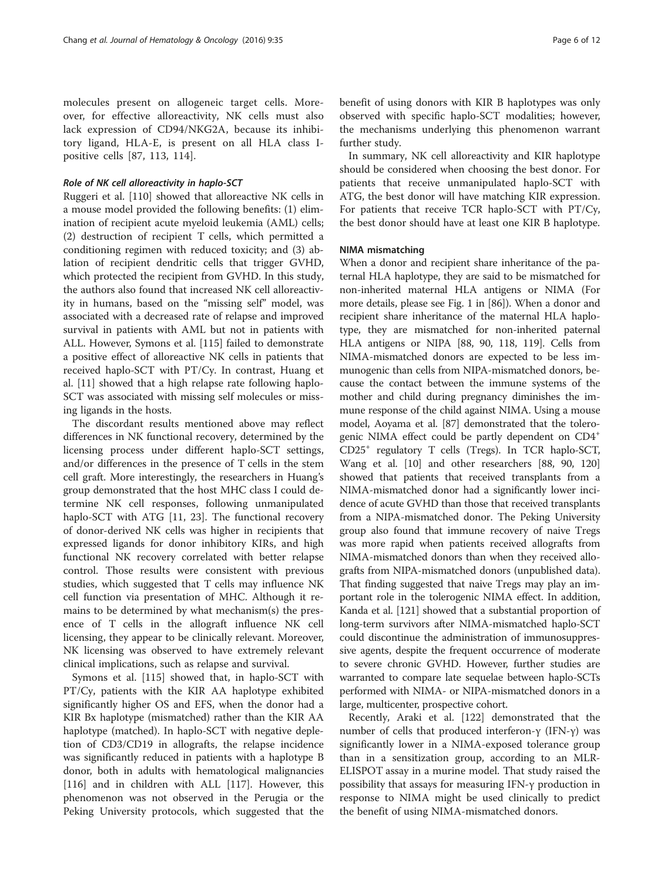molecules present on allogeneic target cells. Moreover, for effective alloreactivity, NK cells must also lack expression of CD94/NKG2A, because its inhibitory ligand, HLA-E, is present on all HLA class Ipositive cells [[87](#page-10-0), [113](#page-10-0), [114](#page-10-0)].

Ruggeri et al. [[110](#page-10-0)] showed that alloreactive NK cells in a mouse model provided the following benefits: (1) elimination of recipient acute myeloid leukemia (AML) cells; (2) destruction of recipient T cells, which permitted a conditioning regimen with reduced toxicity; and (3) ablation of recipient dendritic cells that trigger GVHD, which protected the recipient from GVHD. In this study, the authors also found that increased NK cell alloreactivity in humans, based on the "missing self" model, was associated with a decreased rate of relapse and improved survival in patients with AML but not in patients with ALL. However, Symons et al. [\[115\]](#page-10-0) failed to demonstrate a positive effect of alloreactive NK cells in patients that received haplo-SCT with PT/Cy. In contrast, Huang et al. [\[11](#page-8-0)] showed that a high relapse rate following haplo-SCT was associated with missing self molecules or missing ligands in the hosts.

The discordant results mentioned above may reflect differences in NK functional recovery, determined by the licensing process under different haplo-SCT settings, and/or differences in the presence of T cells in the stem cell graft. More interestingly, the researchers in Huang's group demonstrated that the host MHC class I could determine NK cell responses, following unmanipulated haplo-SCT with ATG [[11, 23\]](#page-8-0). The functional recovery of donor-derived NK cells was higher in recipients that expressed ligands for donor inhibitory KIRs, and high functional NK recovery correlated with better relapse control. Those results were consistent with previous studies, which suggested that T cells may influence NK cell function via presentation of MHC. Although it remains to be determined by what mechanism(s) the presence of T cells in the allograft influence NK cell licensing, they appear to be clinically relevant. Moreover, NK licensing was observed to have extremely relevant clinical implications, such as relapse and survival.

Symons et al. [\[115](#page-10-0)] showed that, in haplo-SCT with PT/Cy, patients with the KIR AA haplotype exhibited significantly higher OS and EFS, when the donor had a KIR Bx haplotype (mismatched) rather than the KIR AA haplotype (matched). In haplo-SCT with negative depletion of CD3/CD19 in allografts, the relapse incidence was significantly reduced in patients with a haplotype B donor, both in adults with hematological malignancies [[116\]](#page-10-0) and in children with ALL [[117](#page-10-0)]. However, this phenomenon was not observed in the Perugia or the Peking University protocols, which suggested that the benefit of using donors with KIR B haplotypes was only observed with specific haplo-SCT modalities; however, the mechanisms underlying this phenomenon warrant further study.

In summary, NK cell alloreactivity and KIR haplotype should be considered when choosing the best donor. For patients that receive unmanipulated haplo-SCT with ATG, the best donor will have matching KIR expression. For patients that receive TCR haplo-SCT with PT/Cy, the best donor should have at least one KIR B haplotype.

#### NIMA mismatching

When a donor and recipient share inheritance of the paternal HLA haplotype, they are said to be mismatched for non-inherited maternal HLA antigens or NIMA (For more details, please see Fig. [1](#page-6-0) in [[86](#page-10-0)]). When a donor and recipient share inheritance of the maternal HLA haplotype, they are mismatched for non-inherited paternal HLA antigens or NIPA [\[88, 90, 118, 119\]](#page-10-0). Cells from NIMA-mismatched donors are expected to be less immunogenic than cells from NIPA-mismatched donors, because the contact between the immune systems of the mother and child during pregnancy diminishes the immune response of the child against NIMA. Using a mouse model, Aoyama et al. [[87](#page-10-0)] demonstrated that the tolerogenic NIMA effect could be partly dependent on CD4+ CD25+ regulatory T cells (Tregs). In TCR haplo-SCT, Wang et al. [[10](#page-8-0)] and other researchers [[88](#page-10-0), [90](#page-10-0), [120](#page-10-0)] showed that patients that received transplants from a NIMA-mismatched donor had a significantly lower incidence of acute GVHD than those that received transplants from a NIPA-mismatched donor. The Peking University group also found that immune recovery of naive Tregs was more rapid when patients received allografts from NIMA-mismatched donors than when they received allografts from NIPA-mismatched donors (unpublished data). That finding suggested that naive Tregs may play an important role in the tolerogenic NIMA effect. In addition, Kanda et al. [[121](#page-10-0)] showed that a substantial proportion of long-term survivors after NIMA-mismatched haplo-SCT could discontinue the administration of immunosuppressive agents, despite the frequent occurrence of moderate to severe chronic GVHD. However, further studies are warranted to compare late sequelae between haplo-SCTs performed with NIMA- or NIPA-mismatched donors in a large, multicenter, prospective cohort.

Recently, Araki et al. [[122\]](#page-10-0) demonstrated that the number of cells that produced interferon-γ (IFN-γ) was significantly lower in a NIMA-exposed tolerance group than in a sensitization group, according to an MLR-ELISPOT assay in a murine model. That study raised the possibility that assays for measuring IFN-γ production in response to NIMA might be used clinically to predict the benefit of using NIMA-mismatched donors.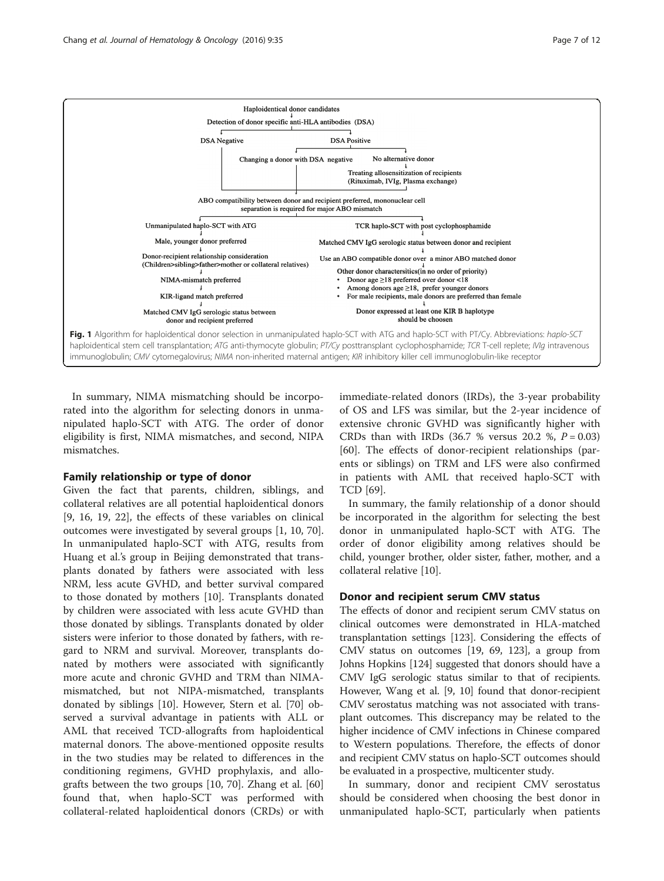<span id="page-6-0"></span>

In summary, NIMA mismatching should be incorporated into the algorithm for selecting donors in unmanipulated haplo-SCT with ATG. The order of donor eligibility is first, NIMA mismatches, and second, NIPA mismatches.

### Family relationship or type of donor

Given the fact that parents, children, siblings, and collateral relatives are all potential haploidentical donors [[9, 16, 19](#page-8-0), [22](#page-8-0)], the effects of these variables on clinical outcomes were investigated by several groups [\[1](#page-8-0), [10](#page-8-0), [70](#page-9-0)]. In unmanipulated haplo-SCT with ATG, results from Huang et al.'s group in Beijing demonstrated that transplants donated by fathers were associated with less NRM, less acute GVHD, and better survival compared to those donated by mothers [[10\]](#page-8-0). Transplants donated by children were associated with less acute GVHD than those donated by siblings. Transplants donated by older sisters were inferior to those donated by fathers, with regard to NRM and survival. Moreover, transplants donated by mothers were associated with significantly more acute and chronic GVHD and TRM than NIMAmismatched, but not NIPA-mismatched, transplants donated by siblings [[10\]](#page-8-0). However, Stern et al. [[70\]](#page-9-0) observed a survival advantage in patients with ALL or AML that received TCD-allografts from haploidentical maternal donors. The above-mentioned opposite results in the two studies may be related to differences in the conditioning regimens, GVHD prophylaxis, and allografts between the two groups [\[10](#page-8-0), [70](#page-9-0)]. Zhang et al. [[60](#page-9-0)] found that, when haplo-SCT was performed with collateral-related haploidentical donors (CRDs) or with immediate-related donors (IRDs), the 3-year probability of OS and LFS was similar, but the 2-year incidence of extensive chronic GVHD was significantly higher with CRDs than with IRDs (36.7 % versus 20.2 %,  $P = 0.03$ ) [[60\]](#page-9-0). The effects of donor-recipient relationships (parents or siblings) on TRM and LFS were also confirmed in patients with AML that received haplo-SCT with TCD [[69\]](#page-9-0).

In summary, the family relationship of a donor should be incorporated in the algorithm for selecting the best donor in unmanipulated haplo-SCT with ATG. The order of donor eligibility among relatives should be child, younger brother, older sister, father, mother, and a collateral relative [[10](#page-8-0)].

### Donor and recipient serum CMV status

The effects of donor and recipient serum CMV status on clinical outcomes were demonstrated in HLA-matched transplantation settings [\[123\]](#page-10-0). Considering the effects of CMV status on outcomes [\[19,](#page-8-0) [69,](#page-9-0) [123](#page-10-0)], a group from Johns Hopkins [\[124\]](#page-10-0) suggested that donors should have a CMV IgG serologic status similar to that of recipients. However, Wang et al. [\[9](#page-8-0), [10\]](#page-8-0) found that donor-recipient CMV serostatus matching was not associated with transplant outcomes. This discrepancy may be related to the higher incidence of CMV infections in Chinese compared to Western populations. Therefore, the effects of donor and recipient CMV status on haplo-SCT outcomes should be evaluated in a prospective, multicenter study.

In summary, donor and recipient CMV serostatus should be considered when choosing the best donor in unmanipulated haplo-SCT, particularly when patients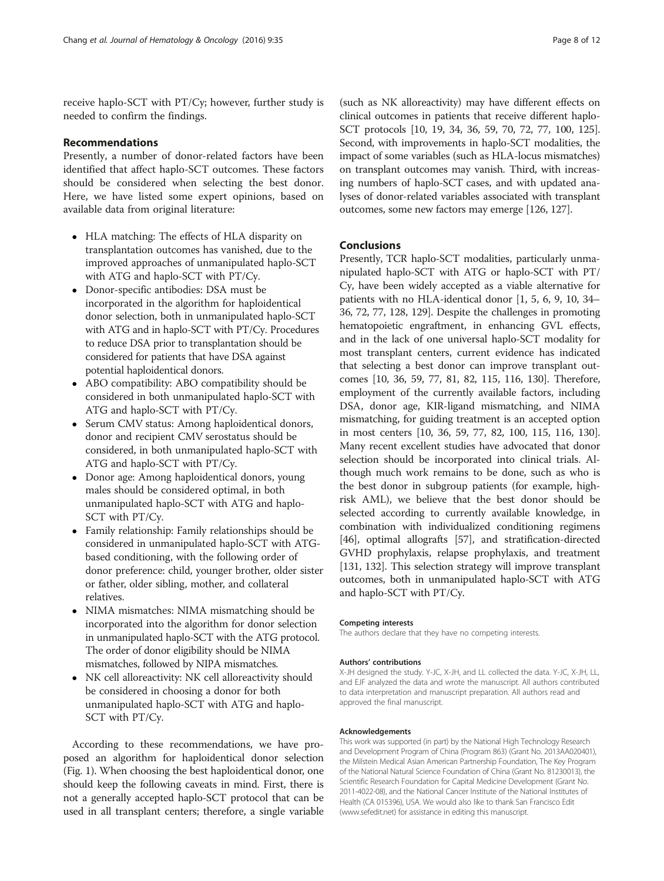receive haplo-SCT with PT/Cy; however, further study is needed to confirm the findings.

#### Recommendations

Presently, a number of donor-related factors have been identified that affect haplo-SCT outcomes. These factors should be considered when selecting the best donor. Here, we have listed some expert opinions, based on available data from original literature:

- HLA matching: The effects of HLA disparity on transplantation outcomes has vanished, due to the improved approaches of unmanipulated haplo-SCT with ATG and haplo-SCT with PT/Cy.
- Donor-specific antibodies: DSA must be incorporated in the algorithm for haploidentical donor selection, both in unmanipulated haplo-SCT with ATG and in haplo-SCT with PT/Cy. Procedures to reduce DSA prior to transplantation should be considered for patients that have DSA against potential haploidentical donors.
- ABO compatibility: ABO compatibility should be considered in both unmanipulated haplo-SCT with ATG and haplo-SCT with PT/Cy.
- Serum CMV status: Among haploidentical donors, donor and recipient CMV serostatus should be considered, in both unmanipulated haplo-SCT with ATG and haplo-SCT with PT/Cy.
- Donor age: Among haploidentical donors, young males should be considered optimal, in both unmanipulated haplo-SCT with ATG and haplo-SCT with PT/Cy.
- Family relationship: Family relationships should be considered in unmanipulated haplo-SCT with ATGbased conditioning, with the following order of donor preference: child, younger brother, older sister or father, older sibling, mother, and collateral relatives.
- NIMA mismatches: NIMA mismatching should be incorporated into the algorithm for donor selection in unmanipulated haplo-SCT with the ATG protocol. The order of donor eligibility should be NIMA mismatches, followed by NIPA mismatches.
- NK cell alloreactivity: NK cell alloreactivity should be considered in choosing a donor for both unmanipulated haplo-SCT with ATG and haplo-SCT with PT/Cy.

According to these recommendations, we have proposed an algorithm for haploidentical donor selection (Fig. [1](#page-6-0)). When choosing the best haploidentical donor, one should keep the following caveats in mind. First, there is not a generally accepted haplo-SCT protocol that can be used in all transplant centers; therefore, a single variable

(such as NK alloreactivity) may have different effects on clinical outcomes in patients that receive different haplo-SCT protocols [[10](#page-8-0), [19](#page-8-0), [34, 36,](#page-8-0) [59, 70](#page-9-0), [72](#page-9-0), [77](#page-9-0), [100,](#page-10-0) [125](#page-11-0)]. Second, with improvements in haplo-SCT modalities, the impact of some variables (such as HLA-locus mismatches) on transplant outcomes may vanish. Third, with increasing numbers of haplo-SCT cases, and with updated analyses of donor-related variables associated with transplant outcomes, some new factors may emerge [[126](#page-11-0), [127\]](#page-11-0).

### Conclusions

Presently, TCR haplo-SCT modalities, particularly unmanipulated haplo-SCT with ATG or haplo-SCT with PT/ Cy, have been widely accepted as a viable alternative for patients with no HLA-identical donor [\[1](#page-8-0), [5](#page-8-0), [6, 9](#page-8-0), [10](#page-8-0), [34](#page-8-0)– [36](#page-8-0), [72](#page-9-0), [77](#page-9-0), [128, 129\]](#page-11-0). Despite the challenges in promoting hematopoietic engraftment, in enhancing GVL effects, and in the lack of one universal haplo-SCT modality for most transplant centers, current evidence has indicated that selecting a best donor can improve transplant outcomes [\[10, 36,](#page-8-0) [59, 77](#page-9-0), [81](#page-10-0), [82, 115, 116](#page-10-0), [130\]](#page-11-0). Therefore, employment of the currently available factors, including DSA, donor age, KIR-ligand mismatching, and NIMA mismatching, for guiding treatment is an accepted option in most centers [[10](#page-8-0), [36](#page-8-0), [59](#page-9-0), [77](#page-9-0), [82](#page-10-0), [100](#page-10-0), [115, 116,](#page-10-0) [130](#page-11-0)]. Many recent excellent studies have advocated that donor selection should be incorporated into clinical trials. Although much work remains to be done, such as who is the best donor in subgroup patients (for example, highrisk AML), we believe that the best donor should be selected according to currently available knowledge, in combination with individualized conditioning regimens [[46](#page-9-0)], optimal allografts [\[57\]](#page-9-0), and stratification-directed GVHD prophylaxis, relapse prophylaxis, and treatment [[131](#page-11-0), [132](#page-11-0)]. This selection strategy will improve transplant outcomes, both in unmanipulated haplo-SCT with ATG and haplo-SCT with PT/Cy.

#### Competing interests

The authors declare that they have no competing interests.

#### Authors' contributions

X-JH designed the study. Y-JC, X-JH, and LL collected the data. Y-JC, X-JH, LL, and EJF analyzed the data and wrote the manuscript. All authors contributed to data interpretation and manuscript preparation. All authors read and approved the final manuscript.

#### Acknowledgements

This work was supported (in part) by the National High Technology Research and Development Program of China (Program 863) (Grant No. 2013AA020401), the Milstein Medical Asian American Partnership Foundation, The Key Program of the National Natural Science Foundation of China (Grant No. 81230013), the Scientific Research Foundation for Capital Medicine Development (Grant No. 2011-4022-08), and the National Cancer Institute of the National Institutes of Health (CA 015396), USA. We would also like to thank San Francisco Edit ([www.sefedit.net\)](http://www.sefedit.net/) for assistance in editing this manuscript.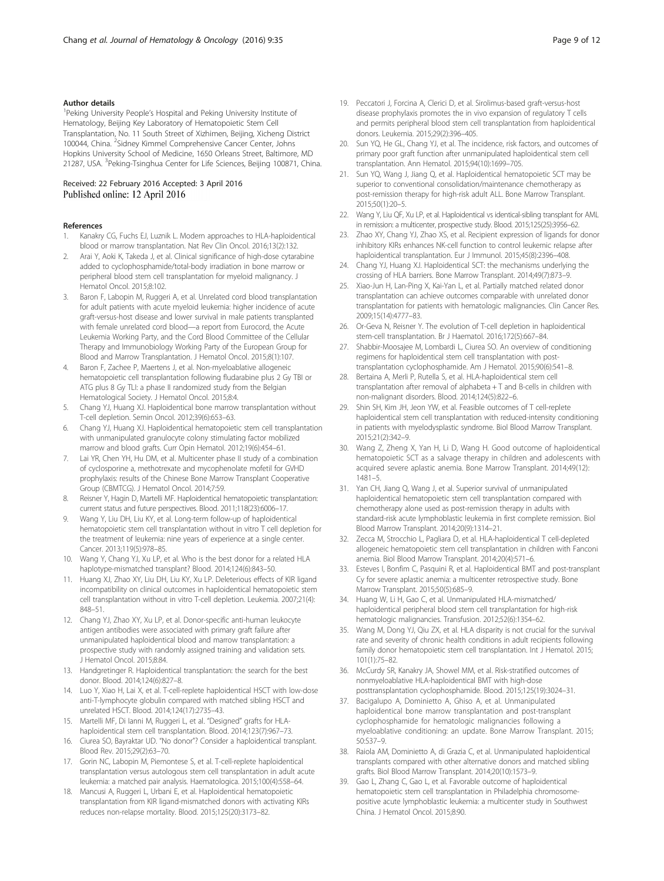#### <span id="page-8-0"></span>Author details

<sup>1</sup> Peking University People's Hospital and Peking University Institute of Hematology, Beijing Key Laboratory of Hematopoietic Stem Cell Transplantation, No. 11 South Street of Xizhimen, Beijing, Xicheng District 100044, China. <sup>2</sup>Sidney Kimmel Comprehensive Cancer Center, Johns Hopkins University School of Medicine, 1650 Orleans Street, Baltimore, MD 21287, USA. <sup>3</sup>Peking-Tsinghua Center for Life Sciences, Beijing 100871, China.

#### Received: 22 February 2016 Accepted: 3 April 2016 Published online: 12 April 2016

#### References

- 1. Kanakry CG, Fuchs EJ, Luznik L. Modern approaches to HLA-haploidentical blood or marrow transplantation. Nat Rev Clin Oncol. 2016;13(2):132.
- Arai Y, Aoki K, Takeda J, et al. Clinical significance of high-dose cytarabine added to cyclophosphamide/total-body irradiation in bone marrow or peripheral blood stem cell transplantation for myeloid malignancy. J Hematol Oncol. 2015;8:102.
- 3. Baron F, Labopin M, Ruggeri A, et al. Unrelated cord blood transplantation for adult patients with acute myeloid leukemia: higher incidence of acute graft-versus-host disease and lower survival in male patients transplanted with female unrelated cord blood—a report from Eurocord, the Acute Leukemia Working Party, and the Cord Blood Committee of the Cellular Therapy and Immunobiology Working Party of the European Group for Blood and Marrow Transplantation. J Hematol Oncol. 2015;8(1):107.
- 4. Baron F, Zachee P, Maertens J, et al. Non-myeloablative allogeneic hematopoietic cell transplantation following fludarabine plus 2 Gy TBI or ATG plus 8 Gy TLI: a phase II randomized study from the Belgian Hematological Society. J Hematol Oncol. 2015;8:4.
- 5. Chang YJ, Huang XJ. Haploidentical bone marrow transplantation without T-cell depletion. Semin Oncol. 2012;39(6):653–63.
- 6. Chang YJ, Huang XJ. Haploidentical hematopoietic stem cell transplantation with unmanipulated granulocyte colony stimulating factor mobilized marrow and blood grafts. Curr Opin Hematol. 2012;19(6):454–61.
- 7. Lai YR, Chen YH, Hu DM, et al. Multicenter phase II study of a combination of cyclosporine a, methotrexate and mycophenolate mofetil for GVHD prophylaxis: results of the Chinese Bone Marrow Transplant Cooperative Group (CBMTCG). J Hematol Oncol. 2014;7:59.
- Reisner Y, Hagin D, Martelli MF. Haploidentical hematopoietic transplantation: current status and future perspectives. Blood. 2011;118(23):6006–17.
- 9. Wang Y, Liu DH, Liu KY, et al. Long-term follow-up of haploidentical hematopoietic stem cell transplantation without in vitro T cell depletion for the treatment of leukemia: nine years of experience at a single center. Cancer. 2013;119(5):978–85.
- 10. Wang Y, Chang YJ, Xu LP, et al. Who is the best donor for a related HLA haplotype-mismatched transplant? Blood. 2014;124(6):843–50.
- 11. Huang XJ, Zhao XY, Liu DH, Liu KY, Xu LP. Deleterious effects of KIR ligand incompatibility on clinical outcomes in haploidentical hematopoietic stem cell transplantation without in vitro T-cell depletion. Leukemia. 2007;21(4): 848–51.
- 12. Chang YJ, Zhao XY, Xu LP, et al. Donor-specific anti-human leukocyte antigen antibodies were associated with primary graft failure after unmanipulated haploidentical blood and marrow transplantation: a prospective study with randomly assigned training and validation sets. J Hematol Oncol. 2015;8:84.
- 13. Handgretinger R. Haploidentical transplantation: the search for the best donor. Blood. 2014;124(6):827–8.
- 14. Luo Y, Xiao H, Lai X, et al. T-cell-replete haploidentical HSCT with low-dose anti-T-lymphocyte globulin compared with matched sibling HSCT and unrelated HSCT. Blood. 2014;124(17):2735–43.
- 15. Martelli MF, Di Ianni M, Ruggeri L, et al. "Designed" grafts for HLAhaploidentical stem cell transplantation. Blood. 2014;123(7):967–73.
- 16. Ciurea SO, Bayraktar UD. "No donor"? Consider a haploidentical transplant. Blood Rev. 2015;29(2):63–70.
- 17. Gorin NC, Labopin M, Piemontese S, et al. T-cell-replete haploidentical transplantation versus autologous stem cell transplantation in adult acute leukemia: a matched pair analysis. Haematologica. 2015;100(4):558–64.
- 18. Mancusi A, Ruggeri L, Urbani E, et al. Haploidentical hematopoietic transplantation from KIR ligand-mismatched donors with activating KIRs reduces non-relapse mortality. Blood. 2015;125(20):3173–82.
- disease prophylaxis promotes the in vivo expansion of regulatory T cells and permits peripheral blood stem cell transplantation from haploidentical donors. Leukemia. 2015;29(2):396–405.
- 20. Sun YQ, He GL, Chang YJ, et al. The incidence, risk factors, and outcomes of primary poor graft function after unmanipulated haploidentical stem cell transplantation. Ann Hematol. 2015;94(10):1699–705.
- 21. Sun YQ, Wang J, Jiang Q, et al. Haploidentical hematopoietic SCT may be superior to conventional consolidation/maintenance chemotherapy as post-remission therapy for high-risk adult ALL. Bone Marrow Transplant. 2015;50(1):20–5.
- 22. Wang Y, Liu OF, Xu LP, et al. Haploidentical vs identical-sibling transplant for AML in remission: a multicenter, prospective study. Blood. 2015;125(25):3956–62.
- 23. Zhao XY, Chang YJ, Zhao XS, et al. Recipient expression of ligands for donor inhibitory KIRs enhances NK-cell function to control leukemic relapse after haploidentical transplantation. Eur J Immunol. 2015;45(8):2396–408.
- 24. Chang YJ, Huang XJ. Haploidentical SCT: the mechanisms underlying the crossing of HLA barriers. Bone Marrow Transplant. 2014;49(7):873–9.
- 25. Xiao-Jun H, Lan-Ping X, Kai-Yan L, et al. Partially matched related donor transplantation can achieve outcomes comparable with unrelated donor transplantation for patients with hematologic malignancies. Clin Cancer Res. 2009;15(14):4777–83.
- 26. Or-Geva N, Reisner Y. The evolution of T-cell depletion in haploidentical stem-cell transplantation. Br J Haematol. 2016;172(5):667–84.
- 27. Shabbir-Moosajee M, Lombardi L, Ciurea SO. An overview of conditioning regimens for haploidentical stem cell transplantation with posttransplantation cyclophosphamide. Am J Hematol. 2015;90(6):541–8.
- 28. Bertaina A, Merli P, Rutella S, et al. HLA-haploidentical stem cell transplantation after removal of alphabeta + T and B-cells in children with non-malignant disorders. Blood. 2014;124(5):822–6.
- 29. Shin SH, Kim JH, Jeon YW, et al. Feasible outcomes of T cell-replete haploidentical stem cell transplantation with reduced-intensity conditioning in patients with myelodysplastic syndrome. Biol Blood Marrow Transplant. 2015;21(2):342–9.
- 30. Wang Z, Zheng X, Yan H, Li D, Wang H. Good outcome of haploidentical hematopoietic SCT as a salvage therapy in children and adolescents with acquired severe aplastic anemia. Bone Marrow Transplant. 2014;49(12): 1481–5.
- 31. Yan CH, Jiang Q, Wang J, et al. Superior survival of unmanipulated haploidentical hematopoietic stem cell transplantation compared with chemotherapy alone used as post-remission therapy in adults with standard-risk acute lymphoblastic leukemia in first complete remission. Biol Blood Marrow Transplant. 2014;20(9):1314–21.
- 32. Zecca M, Strocchio L, Pagliara D, et al. HLA-haploidentical T cell-depleted allogeneic hematopoietic stem cell transplantation in children with Fanconi anemia. Biol Blood Marrow Transplant. 2014;20(4):571–6.
- 33. Esteves I, Bonfim C, Pasquini R, et al. Haploidentical BMT and post-transplant Cy for severe aplastic anemia: a multicenter retrospective study. Bone Marrow Transplant. 2015;50(5):685–9.
- 34. Huang W, Li H, Gao C, et al. Unmanipulated HLA-mismatched/ haploidentical peripheral blood stem cell transplantation for high-risk hematologic malignancies. Transfusion. 2012;52(6):1354–62.
- 35. Wang M, Dong YJ, Qiu ZX, et al. HLA disparity is not crucial for the survival rate and severity of chronic health conditions in adult recipients following family donor hematopoietic stem cell transplantation. Int J Hematol. 2015; 101(1):75–82.
- 36. McCurdy SR, Kanakry JA, Showel MM, et al. Risk-stratified outcomes of nonmyeloablative HLA-haploidentical BMT with high-dose posttransplantation cyclophosphamide. Blood. 2015;125(19):3024–31.
- 37. Bacigalupo A, Dominietto A, Ghiso A, et al. Unmanipulated haploidentical bone marrow transplantation and post-transplant cyclophosphamide for hematologic malignancies following a myeloablative conditioning: an update. Bone Marrow Transplant. 2015; 50:S37–9.
- 38. Raiola AM, Dominietto A, di Grazia C, et al. Unmanipulated haploidentical transplants compared with other alternative donors and matched sibling grafts. Biol Blood Marrow Transplant. 2014;20(10):1573–9.
- 39. Gao L, Zhang C, Gao L, et al. Favorable outcome of haploidentical hematopoietic stem cell transplantation in Philadelphia chromosomepositive acute lymphoblastic leukemia: a multicenter study in Southwest China. J Hematol Oncol. 2015;8:90.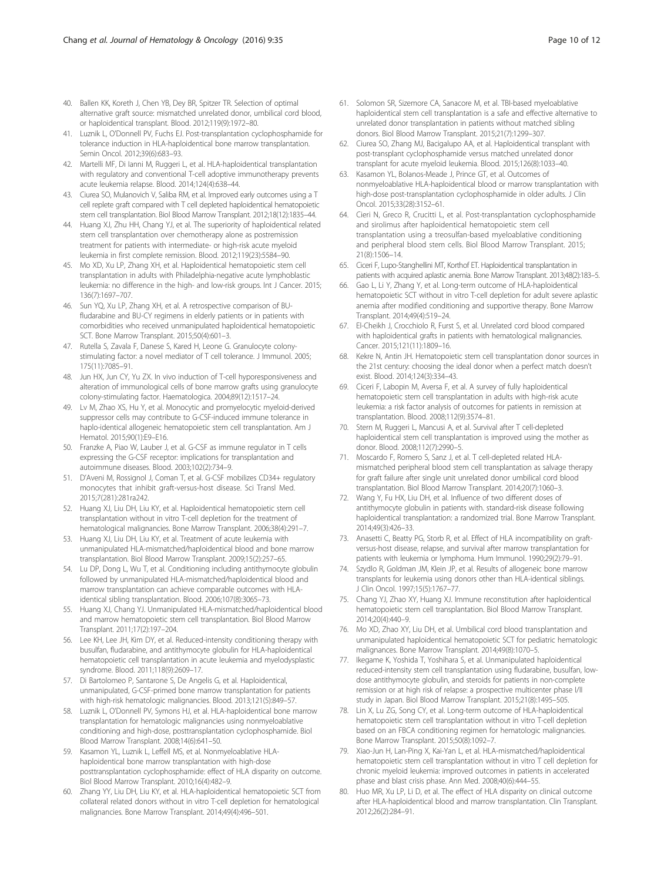- <span id="page-9-0"></span>40. Ballen KK, Koreth J, Chen YB, Dey BR, Spitzer TR. Selection of optimal alternative graft source: mismatched unrelated donor, umbilical cord blood, or haploidentical transplant. Blood. 2012;119(9):1972–80.
- 41. Luznik L, O'Donnell PV, Fuchs EJ. Post-transplantation cyclophosphamide for tolerance induction in HLA-haploidentical bone marrow transplantation. Semin Oncol. 2012;39(6):683–93.
- 42. Martelli MF, Di Ianni M, Ruggeri L, et al. HLA-haploidentical transplantation with regulatory and conventional T-cell adoptive immunotherapy prevents acute leukemia relapse. Blood. 2014;124(4):638–44.
- 43. Ciurea SO, Mulanovich V, Saliba RM, et al. Improved early outcomes using a T cell replete graft compared with T cell depleted haploidentical hematopoietic stem cell transplantation. Biol Blood Marrow Transplant. 2012;18(12):1835–44.
- 44. Huang XJ, Zhu HH, Chang YJ, et al. The superiority of haploidentical related stem cell transplantation over chemotherapy alone as postremission treatment for patients with intermediate- or high-risk acute myeloid leukemia in first complete remission. Blood. 2012;119(23):5584–90.
- 45. Mo XD, Xu LP, Zhang XH, et al. Haploidentical hematopoietic stem cell transplantation in adults with Philadelphia-negative acute lymphoblastic leukemia: no difference in the high- and low-risk groups. Int J Cancer. 2015; 136(7):1697–707.
- 46. Sun YQ, Xu LP, Zhang XH, et al. A retrospective comparison of BUfludarabine and BU-CY regimens in elderly patients or in patients with comorbidities who received unmanipulated haploidentical hematopoietic SCT. Bone Marrow Transplant. 2015;50(4):601–3.
- 47. Rutella S, Zavala F, Danese S, Kared H, Leone G. Granulocyte colonystimulating factor: a novel mediator of T cell tolerance. J Immunol. 2005; 175(11):7085–91.
- 48. Jun HX, Jun CY, Yu ZX. In vivo induction of T-cell hyporesponsiveness and alteration of immunological cells of bone marrow grafts using granulocyte colony-stimulating factor. Haematologica. 2004;89(12):1517–24.
- 49. Lv M, Zhao XS, Hu Y, et al. Monocytic and promyelocytic myeloid-derived suppressor cells may contribute to G-CSF-induced immune tolerance in haplo-identical allogeneic hematopoietic stem cell transplantation. Am J Hematol. 2015;90(1):E9–E16.
- 50. Franzke A, Piao W, Lauber J, et al. G-CSF as immune regulator in T cells expressing the G-CSF receptor: implications for transplantation and autoimmune diseases. Blood. 2003;102(2):734–9.
- 51. D'Aveni M, Rossignol J, Coman T, et al. G-CSF mobilizes CD34+ regulatory monocytes that inhibit graft-versus-host disease. Sci Transl Med. 2015;7(281):281ra242.
- 52. Huang XJ, Liu DH, Liu KY, et al. Haploidentical hematopoietic stem cell transplantation without in vitro T-cell depletion for the treatment of hematological malignancies. Bone Marrow Transplant. 2006;38(4):291–7.
- 53. Huang XJ, Liu DH, Liu KY, et al. Treatment of acute leukemia with unmanipulated HLA-mismatched/haploidentical blood and bone marrow transplantation. Biol Blood Marrow Transplant. 2009;15(2):257–65.
- 54. Lu DP, Dong L, Wu T, et al. Conditioning including antithymocyte globulin followed by unmanipulated HLA-mismatched/haploidentical blood and marrow transplantation can achieve comparable outcomes with HLAidentical sibling transplantation. Blood. 2006;107(8):3065–73.
- 55. Huang XJ, Chang YJ. Unmanipulated HLA-mismatched/haploidentical blood and marrow hematopoietic stem cell transplantation. Biol Blood Marrow Transplant. 2011;17(2):197–204.
- 56. Lee KH, Lee JH, Kim DY, et al. Reduced-intensity conditioning therapy with busulfan, fludarabine, and antithymocyte globulin for HLA-haploidentical hematopoietic cell transplantation in acute leukemia and myelodysplastic syndrome. Blood. 2011;118(9):2609–17.
- 57. Di Bartolomeo P, Santarone S, De Angelis G, et al. Haploidentical, unmanipulated, G-CSF-primed bone marrow transplantation for patients with high-risk hematologic malignancies. Blood. 2013;121(5):849–57.
- 58. Luznik L, O'Donnell PV, Symons HJ, et al. HLA-haploidentical bone marrow transplantation for hematologic malignancies using nonmyeloablative conditioning and high-dose, posttransplantation cyclophosphamide. Biol Blood Marrow Transplant. 2008;14(6):641–50.
- 59. Kasamon YL, Luznik L, Leffell MS, et al. Nonmyeloablative HLAhaploidentical bone marrow transplantation with high-dose posttransplantation cyclophosphamide: effect of HLA disparity on outcome. Biol Blood Marrow Transplant. 2010;16(4):482–9.
- 60. Zhang YY, Liu DH, Liu KY, et al. HLA-haploidentical hematopoietic SCT from collateral related donors without in vitro T-cell depletion for hematological malignancies. Bone Marrow Transplant. 2014;49(4):496–501.
- 61. Solomon SR, Sizemore CA, Sanacore M, et al. TBI-based myeloablative haploidentical stem cell transplantation is a safe and effective alternative to unrelated donor transplantation in patients without matched sibling donors. Biol Blood Marrow Transplant. 2015;21(7):1299–307.
- 62. Ciurea SO, Zhang MJ, Bacigalupo AA, et al. Haploidentical transplant with post-transplant cyclophosphamide versus matched unrelated donor transplant for acute myeloid leukemia. Blood. 2015;126(8):1033–40.
- 63. Kasamon YL, Bolanos-Meade J, Prince GT, et al. Outcomes of nonmyeloablative HLA-haploidentical blood or marrow transplantation with high-dose post-transplantation cyclophosphamide in older adults. J Clin Oncol. 2015;33(28):3152–61.
- 64. Cieri N, Greco R, Crucitti L, et al. Post-transplantation cyclophosphamide and sirolimus after haploidentical hematopoietic stem cell transplantation using a treosulfan-based myeloablative conditioning and peripheral blood stem cells. Biol Blood Marrow Transplant. 2015; 21(8):1506–14.
- 65. Ciceri F, Lupo-Stanghellini MT, Korthof ET. Haploidentical transplantation in patients with acquired aplastic anemia. Bone Marrow Transplant. 2013;48(2):183–5.
- 66. Gao L, Li Y, Zhang Y, et al. Long-term outcome of HLA-haploidentical hematopoietic SCT without in vitro T-cell depletion for adult severe aplastic anemia after modified conditioning and supportive therapy. Bone Marrow Transplant. 2014;49(4):519–24.
- 67. El-Cheikh J, Crocchiolo R, Furst S, et al. Unrelated cord blood compared with haploidentical grafts in patients with hematological malignancies. Cancer. 2015;121(11):1809–16.
- 68. Kekre N, Antin JH. Hematopoietic stem cell transplantation donor sources in the 21st century: choosing the ideal donor when a perfect match doesn't exist. Blood. 2014;124(3):334–43.
- Ciceri F, Labopin M, Aversa F, et al. A survey of fully haploidentical hematopoietic stem cell transplantation in adults with high-risk acute leukemia: a risk factor analysis of outcomes for patients in remission at transplantation. Blood. 2008;112(9):3574–81.
- 70. Stern M, Ruggeri L, Mancusi A, et al. Survival after T cell-depleted haploidentical stem cell transplantation is improved using the mother as donor. Blood. 2008;112(7):2990–5.
- 71. Moscardo F, Romero S, Sanz J, et al. T cell-depleted related HLAmismatched peripheral blood stem cell transplantation as salvage therapy for graft failure after single unit unrelated donor umbilical cord blood transplantation. Biol Blood Marrow Transplant. 2014;20(7):1060–3.
- 72. Wang Y, Fu HX, Liu DH, et al. Influence of two different doses of antithymocyte globulin in patients with. standard-risk disease following haploidentical transplantation: a randomized trial. Bone Marrow Transplant. 2014;49(3):426–33.
- 73. Anasetti C, Beatty PG, Storb R, et al. Effect of HLA incompatibility on graftversus-host disease, relapse, and survival after marrow transplantation for patients with leukemia or lymphoma. Hum Immunol. 1990;29(2):79–91.
- 74. Szydlo R, Goldman JM, Klein JP, et al. Results of allogeneic bone marrow transplants for leukemia using donors other than HLA-identical siblings. J Clin Oncol. 1997;15(5):1767–77.
- 75. Chang YJ, Zhao XY, Huang XJ. Immune reconstitution after haploidentical hematopoietic stem cell transplantation. Biol Blood Marrow Transplant. 2014;20(4):440–9.
- 76. Mo XD, Zhao XY, Liu DH, et al. Umbilical cord blood transplantation and unmanipulated haploidentical hematopoietic SCT for pediatric hematologic malignances. Bone Marrow Transplant. 2014;49(8):1070–5.
- 77. Ikegame K, Yoshida T, Yoshihara S, et al. Unmanipulated haploidentical reduced-intensity stem cell transplantation using fludarabine, busulfan, lowdose antithymocyte globulin, and steroids for patients in non-complete remission or at high risk of relapse: a prospective multicenter phase I/II study in Japan. Biol Blood Marrow Transplant. 2015;21(8):1495–505.
- 78. Lin X, Lu ZG, Song CY, et al. Long-term outcome of HLA-haploidentical hematopoietic stem cell transplantation without in vitro T-cell depletion based on an FBCA conditioning regimen for hematologic malignancies. Bone Marrow Transplant. 2015;50(8):1092–7.
- 79. Xiao-Jun H, Lan-Ping X, Kai-Yan L, et al. HLA-mismatched/haploidentical hematopoietic stem cell transplantation without in vitro T cell depletion for chronic myeloid leukemia: improved outcomes in patients in accelerated phase and blast crisis phase. Ann Med. 2008;40(6):444–55.
- 80. Huo MR, Xu LP, Li D, et al. The effect of HLA disparity on clinical outcome after HLA-haploidentical blood and marrow transplantation. Clin Transplant. 2012;26(2):284–91.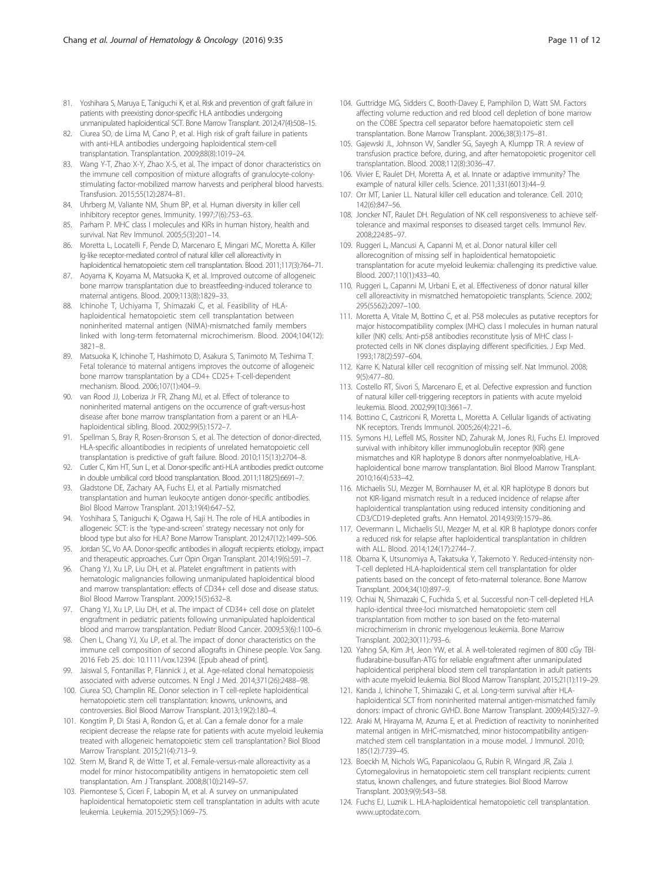- <span id="page-10-0"></span>81. Yoshihara S, Maruya E, Taniguchi K, et al. Risk and prevention of graft failure in patients with preexisting donor-specific HLA antibodies undergoing unmanipulated haploidentical SCT. Bone Marrow Transplant. 2012;47(4):508–15.
- 82. Ciurea SO, de Lima M, Cano P, et al. High risk of graft failure in patients with anti-HLA antibodies undergoing haploidentical stem-cell transplantation. Transplantation. 2009;88(8):1019–24.
- 83. Wang Y-T, Zhao X-Y, Zhao X-S, et al. The impact of donor characteristics on the immune cell composition of mixture allografts of granulocyte-colonystimulating factor-mobilized marrow harvests and peripheral blood harvests. Transfusion. 2015;55(12):2874–81.
- 84. Uhrberg M, Valiante NM, Shum BP, et al. Human diversity in killer cell inhibitory receptor genes. Immunity. 1997;7(6):753–63.
- 85. Parham P. MHC class I molecules and KIRs in human history, health and survival. Nat Rev Immunol. 2005;5(3):201–14.
- 86. Moretta L, Locatelli F, Pende D, Marcenaro E, Mingari MC, Moretta A. Killer Ig-like receptor-mediated control of natural killer cell alloreactivity in haploidentical hematopoietic stem cell transplantation. Blood. 2011;117(3):764–71.
- 87. Aoyama K, Koyama M, Matsuoka K, et al. Improved outcome of allogeneic bone marrow transplantation due to breastfeeding-induced tolerance to maternal antigens. Blood. 2009;113(8):1829–33.
- 88. Ichinohe T, Uchiyama T, Shimazaki C, et al. Feasibility of HLAhaploidentical hematopoietic stem cell transplantation between noninherited maternal antigen (NIMA)-mismatched family members linked with long-term fetomaternal microchimerism. Blood. 2004;104(12): 3821–8.
- 89. Matsuoka K, Ichinohe T, Hashimoto D, Asakura S, Tanimoto M, Teshima T. Fetal tolerance to maternal antigens improves the outcome of allogeneic bone marrow transplantation by a CD4+ CD25+ T-cell-dependent mechanism. Blood. 2006;107(1):404–9.
- 90. van Rood JJ, Loberiza Jr FR, Zhang MJ, et al. Effect of tolerance to noninherited maternal antigens on the occurrence of graft-versus-host disease after bone marrow transplantation from a parent or an HLAhaploidentical sibling. Blood. 2002;99(5):1572–7.
- 91. Spellman S, Bray R, Rosen-Bronson S, et al. The detection of donor-directed, HLA-specific alloantibodies in recipients of unrelated hematopoietic cell transplantation is predictive of graft failure. Blood. 2010;115(13):2704–8.
- 92. Cutler C, Kim HT, Sun L, et al. Donor-specific anti-HLA antibodies predict outcome in double umbilical cord blood transplantation. Blood. 2011;118(25):6691–7.
- 93. Gladstone DE, Zachary AA, Fuchs EJ, et al. Partially mismatched transplantation and human leukocyte antigen donor-specific antibodies. Biol Blood Marrow Transplant. 2013;19(4):647–52.
- 94. Yoshihara S, Taniguchi K, Ogawa H, Saji H. The role of HLA antibodies in allogeneic SCT: is the 'type-and-screen' strategy necessary not only for blood type but also for HLA? Bone Marrow Transplant. 2012;47(12):1499–506.
- 95. Jordan SC, Vo AA. Donor-specific antibodies in allograft recipients: etiology, impact and therapeutic approaches. Curr Opin Organ Transplant. 2014;19(6):591–7.
- 96. Chang YJ, Xu LP, Liu DH, et al. Platelet engraftment in patients with hematologic malignancies following unmanipulated haploidentical blood and marrow transplantation: effects of CD34+ cell dose and disease status. Biol Blood Marrow Transplant. 2009;15(5):632–8.
- 97. Chang YJ, Xu LP, Liu DH, et al. The impact of CD34+ cell dose on platelet engraftment in pediatric patients following unmanipulated haploidentical blood and marrow transplantation. Pediatr Blood Cancer. 2009;53(6):1100–6.
- 98. Chen L, Chang YJ, Xu LP, et al. The impact of donor characteristics on the immune cell composition of second allografts in Chinese people. Vox Sang. 2016 Feb 25. doi: [10.1111/vox.12394](http://dx.doi.org/10.1111/vox.12394). [Epub ahead of print].
- 99. Jaiswal S, Fontanillas P, Flannick J, et al. Age-related clonal hematopoiesis associated with adverse outcomes. N Engl J Med. 2014;371(26):2488–98.
- 100. Ciurea SO, Champlin RE. Donor selection in T cell-replete haploidentical hematopoietic stem cell transplantation: knowns, unknowns, and controversies. Biol Blood Marrow Transplant. 2013;19(2):180–4.
- 101. Kongtim P, Di Stasi A, Rondon G, et al. Can a female donor for a male recipient decrease the relapse rate for patients with acute myeloid leukemia treated with allogeneic hematopoietic stem cell transplantation? Biol Blood Marrow Transplant. 2015;21(4):713–9.
- 102. Stern M, Brand R, de Witte T, et al. Female-versus-male alloreactivity as a model for minor histocompatibility antigens in hematopoietic stem cell transplantation. Am J Transplant. 2008;8(10):2149–57.
- 103. Piemontese S, Ciceri F, Labopin M, et al. A survey on unmanipulated haploidentical hematopoietic stem cell transplantation in adults with acute leukemia. Leukemia. 2015;29(5):1069–75.
- 104. Guttridge MG, Sidders C, Booth-Davey E, Pamphilon D, Watt SM. Factors affecting volume reduction and red blood cell depletion of bone marrow on the COBE Spectra cell separator before haematopoietic stem cell transplantation. Bone Marrow Transplant. 2006;38(3):175–81.
- 105. Gajewski JL, Johnson VV, Sandler SG, Sayegh A, Klumpp TR. A review of transfusion practice before, during, and after hematopoietic progenitor cell transplantation. Blood. 2008;112(8):3036–47.
- 106. Vivier E, Raulet DH, Moretta A, et al. Innate or adaptive immunity? The example of natural killer cells. Science. 2011;331(6013):44–9.
- 107. Orr MT, Lanier LL. Natural killer cell education and tolerance. Cell. 2010; 142(6):847–56.
- 108. Joncker NT, Raulet DH. Regulation of NK cell responsiveness to achieve selftolerance and maximal responses to diseased target cells. Immunol Rev. 2008;224:85–97.
- 109. Ruggeri L, Mancusi A, Capanni M, et al. Donor natural killer cell allorecognition of missing self in haploidentical hematopoietic transplantation for acute myeloid leukemia: challenging its predictive value. Blood. 2007;110(1):433–40.
- 110. Ruggeri L, Capanni M, Urbani E, et al. Effectiveness of donor natural killer cell alloreactivity in mismatched hematopoietic transplants. Science. 2002; 295(5562):2097–100.
- 111. Moretta A, Vitale M, Bottino C, et al. P58 molecules as putative receptors for major histocompatibility complex (MHC) class I molecules in human natural killer (NK) cells. Anti-p58 antibodies reconstitute lysis of MHC class Iprotected cells in NK clones displaying different specificities. J Exp Med. 1993;178(2):597–604.
- 112. Karre K. Natural killer cell recognition of missing self. Nat Immunol. 2008: 9(5):477–80.
- 113. Costello RT, Sivori S, Marcenaro E, et al. Defective expression and function of natural killer cell-triggering receptors in patients with acute myeloid leukemia. Blood. 2002;99(10):3661–7.
- 114. Bottino C, Castriconi R, Moretta L, Moretta A. Cellular ligands of activating NK receptors. Trends Immunol. 2005;26(4):221–6.
- 115. Symons HJ, Leffell MS, Rossiter ND, Zahurak M, Jones RJ, Fuchs EJ. Improved survival with inhibitory killer immunoglobulin receptor (KIR) gene mismatches and KIR haplotype B donors after nonmyeloablative, HLAhaploidentical bone marrow transplantation. Biol Blood Marrow Transplant. 2010;16(4):533–42.
- 116. Michaelis SU, Mezger M, Bornhauser M, et al. KIR haplotype B donors but not KIR-ligand mismatch result in a reduced incidence of relapse after haploidentical transplantation using reduced intensity conditioning and CD3/CD19-depleted grafts. Ann Hematol. 2014;93(9):1579–86.
- 117. Oevermann L, Michaelis SU, Mezger M, et al. KIR B haplotype donors confer a reduced risk for relapse after haploidentical transplantation in children with ALL. Blood. 2014;124(17):2744–7.
- 118. Obama K, Utsunomiya A, Takatsuka Y, Takemoto Y. Reduced-intensity non-T-cell depleted HLA-haploidentical stem cell transplantation for older patients based on the concept of feto-maternal tolerance. Bone Marrow Transplant. 2004;34(10):897–9.
- 119. Ochiai N, Shimazaki C, Fuchida S, et al. Successful non-T cell-depleted HLA haplo-identical three-loci mismatched hematopoietic stem cell transplantation from mother to son based on the feto-maternal microchimerism in chronic myelogenous leukemia. Bone Marrow Transplant. 2002;30(11):793–6.
- 120. Yahng SA, Kim JH, Jeon YW, et al. A well-tolerated regimen of 800 cGy TBIfludarabine-busulfan-ATG for reliable engraftment after unmanipulated haploidentical peripheral blood stem cell transplantation in adult patients with acute myeloid leukemia. Biol Blood Marrow Transplant. 2015;21(1):119–29.
- 121. Kanda J, Ichinohe T, Shimazaki C, et al. Long-term survival after HLAhaploidentical SCT from noninherited maternal antigen-mismatched family donors: impact of chronic GVHD. Bone Marrow Transplant. 2009;44(5):327–9.
- 122. Araki M, Hirayama M, Azuma E, et al. Prediction of reactivity to noninherited maternal antigen in MHC-mismatched, minor histocompatibility antigenmatched stem cell transplantation in a mouse model. J Immunol. 2010; 185(12):7739–45.
- 123. Boeckh M, Nichols WG, Papanicolaou G, Rubin R, Wingard JR, Zaia J. Cytomegalovirus in hematopoietic stem cell transplant recipients: current status, known challenges, and future strategies. Biol Blood Marrow Transplant. 2003;9(9):543–58.
- 124. Fuchs EJ, Luznik L. HLA-haploidentical hematopoietic cell transplantation. [www.uptodate.com](http://www.uptodate.com/).